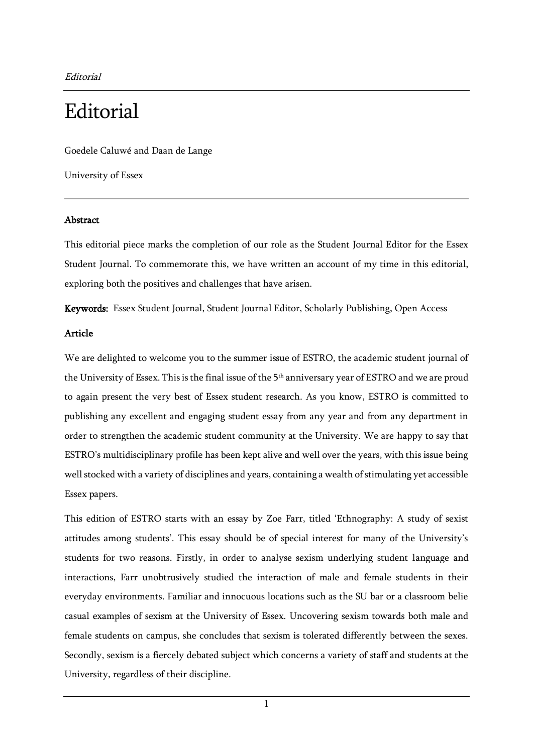Editorial

## **Editorial**

Goedele Caluwé and Daan de Lange

University of Essex

## Abstract

This editorial piece marks the completion of our role as the Student Journal Editor for the Essex Student Journal. To commemorate this, we have written an account of my time in this editorial, exploring both the positives and challenges that have arisen.

Keywords: Essex Student Journal, Student Journal Editor, Scholarly Publishing, Open Access

## Article

We are delighted to welcome you to the summer issue of ESTRO, the academic student journal of the University of Essex. This is the final issue of the 5<sup>th</sup> anniversary year of ESTRO and we are proud to again present the very best of Essex student research. As you know, ESTRO is committed to publishing any excellent and engaging student essay from any year and from any department in order to strengthen the academic student community at the University. We are happy to say that ESTRO's multidisciplinary profile has been kept alive and well over the years, with this issue being well stocked with a variety of disciplines and years, containing a wealth of stimulating yet accessible Essex papers.

This edition of ESTRO starts with an essay by Zoe Farr, titled 'Ethnography: A study of sexist attitudes among students'. This essay should be of special interest for many of the University's students for two reasons. Firstly, in order to analyse sexism underlying student language and interactions, Farr unobtrusively studied the interaction of male and female students in their everyday environments. Familiar and innocuous locations such as the SU bar or a classroom belie casual examples of sexism at the University of Essex. Uncovering sexism towards both male and female students on campus, she concludes that sexism is tolerated differently between the sexes. Secondly, sexism is a fiercely debated subject which concerns a variety of staff and students at the University, regardless of their discipline.

1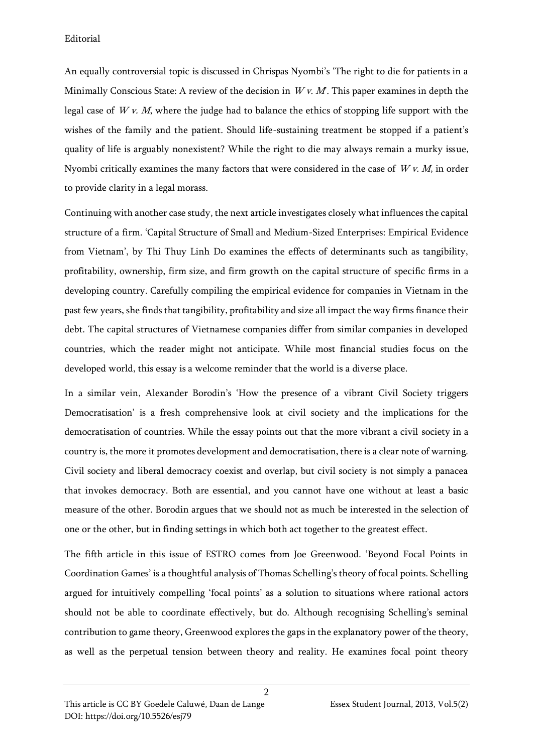Editorial

An equally controversial topic is discussed in Chrispas Nyombi's 'The right to die for patients in a Minimally Conscious State: A review of the decision in  $Wv$ .  $M$ . This paper examines in depth the legal case of  $Wv$ . M, where the judge had to balance the ethics of stopping life support with the wishes of the family and the patient. Should life-sustaining treatment be stopped if a patient's quality of life is arguably nonexistent? While the right to die may always remain a murky issue, Nyombi critically examines the many factors that were considered in the case of  $Wv$ . M, in order to provide clarity in a legal morass.

Continuing with another case study, the next article investigates closely what influences the capital structure of a firm. 'Capital Structure of Small and Medium-Sized Enterprises: Empirical Evidence from Vietnam', by Thi Thuy Linh Do examines the effects of determinants such as tangibility, profitability, ownership, firm size, and firm growth on the capital structure of specific firms in a developing country. Carefully compiling the empirical evidence for companies in Vietnam in the past few years, she finds that tangibility, profitability and size all impact the way firms finance their debt. The capital structures of Vietnamese companies differ from similar companies in developed countries, which the reader might not anticipate. While most financial studies focus on the developed world, this essay is a welcome reminder that the world is a diverse place.

In a similar vein, Alexander Borodin's 'How the presence of a vibrant Civil Society triggers Democratisation' is a fresh comprehensive look at civil society and the implications for the democratisation of countries. While the essay points out that the more vibrant a civil society in a country is, the more it promotes development and democratisation, there is a clear note of warning. Civil society and liberal democracy coexist and overlap, but civil society is not simply a panacea that invokes democracy. Both are essential, and you cannot have one without at least a basic measure of the other. Borodin argues that we should not as much be interested in the selection of one or the other, but in finding settings in which both act together to the greatest effect.

The fifth article in this issue of ESTRO comes from Joe Greenwood. 'Beyond Focal Points in Coordination Games' is a thoughtful analysis of Thomas Schelling's theory of focal points. Schelling argued for intuitively compelling 'focal points' as a solution to situations where rational actors should not be able to coordinate effectively, but do. Although recognising Schelling's seminal contribution to game theory, Greenwood explores the gaps in the explanatory power of the theory, as well as the perpetual tension between theory and reality. He examines focal point theory